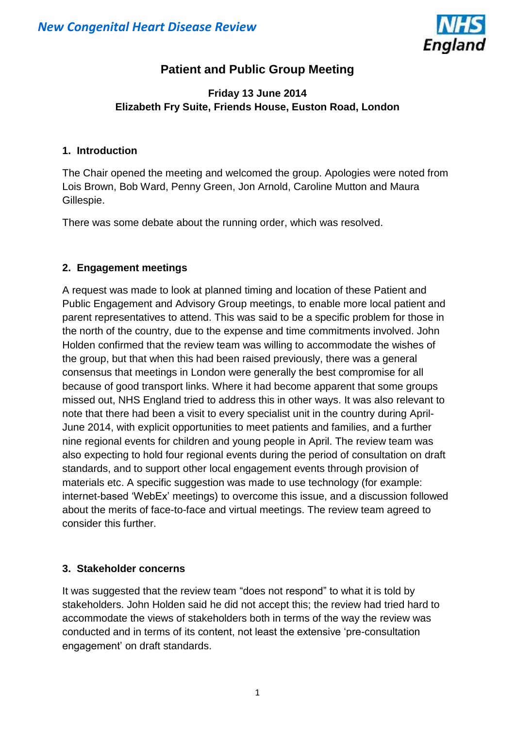

## **Patient and Public Group Meeting**

#### **Friday 13 June 2014 Elizabeth Fry Suite, Friends House, Euston Road, London**

#### **1. Introduction**

The Chair opened the meeting and welcomed the group. Apologies were noted from Lois Brown, Bob Ward, Penny Green, Jon Arnold, Caroline Mutton and Maura Gillespie.

There was some debate about the running order, which was resolved.

#### **2. Engagement meetings**

A request was made to look at planned timing and location of these Patient and Public Engagement and Advisory Group meetings, to enable more local patient and parent representatives to attend. This was said to be a specific problem for those in the north of the country, due to the expense and time commitments involved. John Holden confirmed that the review team was willing to accommodate the wishes of the group, but that when this had been raised previously, there was a general consensus that meetings in London were generally the best compromise for all because of good transport links. Where it had become apparent that some groups missed out, NHS England tried to address this in other ways. It was also relevant to note that there had been a visit to every specialist unit in the country during April-June 2014, with explicit opportunities to meet patients and families, and a further nine regional events for children and young people in April. The review team was also expecting to hold four regional events during the period of consultation on draft standards, and to support other local engagement events through provision of materials etc. A specific suggestion was made to use technology (for example: internet-based 'WebEx' meetings) to overcome this issue, and a discussion followed about the merits of face-to-face and virtual meetings. The review team agreed to consider this further.

#### **3. Stakeholder concerns**

It was suggested that the review team "does not respond" to what it is told by stakeholders. John Holden said he did not accept this; the review had tried hard to accommodate the views of stakeholders both in terms of the way the review was conducted and in terms of its content, not least the extensive 'pre-consultation engagement' on draft standards.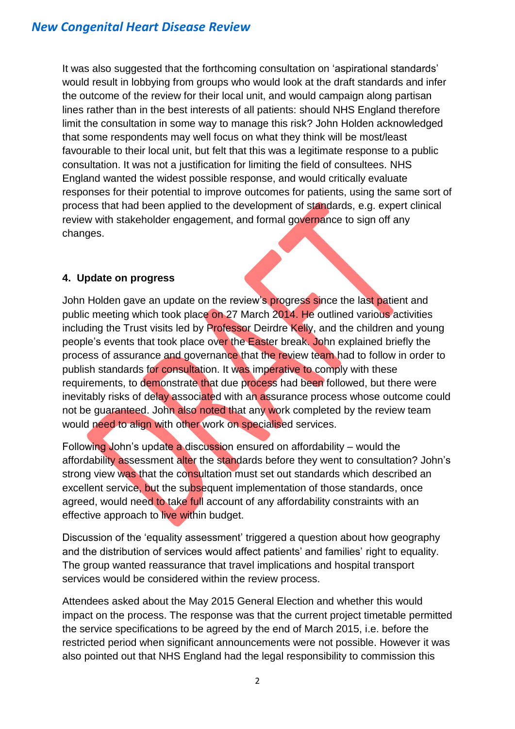It was also suggested that the forthcoming consultation on 'aspirational standards' would result in lobbying from groups who would look at the draft standards and infer the outcome of the review for their local unit, and would campaign along partisan lines rather than in the best interests of all patients: should NHS England therefore limit the consultation in some way to manage this risk? John Holden acknowledged that some respondents may well focus on what they think will be most/least favourable to their local unit, but felt that this was a legitimate response to a public consultation. It was not a justification for limiting the field of consultees. NHS England wanted the widest possible response, and would critically evaluate responses for their potential to improve outcomes for patients, using the same sort of process that had been applied to the development of standards, e.g. expert clinical review with stakeholder engagement, and formal governance to sign off any changes.

#### **4. Update on progress**

John Holden gave an update on the review's progress since the last patient and public meeting which took place on 27 March 2014. He outlined various activities including the Trust visits led by Professor Deirdre Kelly, and the children and young people's events that took place over the Easter break. John explained briefly the process of assurance and governance that the review team had to follow in order to publish standards for consultation. It was imperative to comply with these requirements, to demonstrate that due process had been followed, but there were inevitably risks of delay associated with an assurance process whose outcome could not be guaranteed. John also noted that any work completed by the review team would need to align with other work on specialised services.

Following John's update a discussion ensured on affordability – would the affordability assessment alter the standards before they went to consultation? John's strong view was that the consultation must set out standards which described an excellent service, but the subsequent implementation of those standards, once agreed, would need to take full account of any affordability constraints with an effective approach to live within budget.

Discussion of the 'equality assessment' triggered a question about how geography and the distribution of services would affect patients' and families' right to equality. The group wanted reassurance that travel implications and hospital transport services would be considered within the review process.

Attendees asked about the May 2015 General Election and whether this would impact on the process. The response was that the current project timetable permitted the service specifications to be agreed by the end of March 2015, i.e. before the restricted period when significant announcements were not possible. However it was also pointed out that NHS England had the legal responsibility to commission this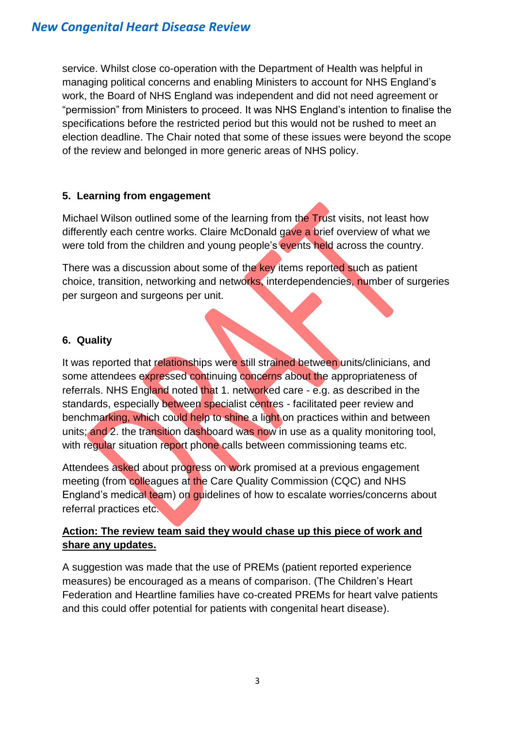service. Whilst close co-operation with the Department of Health was helpful in managing political concerns and enabling Ministers to account for NHS England's work, the Board of NHS England was independent and did not need agreement or "permission" from Ministers to proceed. It was NHS England's intention to finalise the specifications before the restricted period but this would not be rushed to meet an election deadline. The Chair noted that some of these issues were beyond the scope of the review and belonged in more generic areas of NHS policy.

#### **5. Learning from engagement**

Michael Wilson outlined some of the learning from the Trust visits, not least how differently each centre works. Claire McDonald gave a brief overview of what we were told from the children and young people's events held across the country.

There was a discussion about some of the key items reported such as patient choice, transition, networking and networks, interdependencies, number of surgeries per surgeon and surgeons per unit.

#### **6. Quality**

It was reported that relationships were still strained between units/clinicians, and some attendees expressed continuing concerns about the appropriateness of referrals. NHS England noted that 1. networked care - e.g. as described in the standards, especially between specialist centres - facilitated peer review and benchmarking, which could help to shine a light on practices within and between units; and 2. the transition dashboard was now in use as a quality monitoring tool, with regular situation report phone calls between commissioning teams etc.

Attendees asked about progress on work promised at a previous engagement meeting (from colleagues at the Care Quality Commission (CQC) and NHS England's medical team) on guidelines of how to escalate worries/concerns about referral practices etc.

#### **Action: The review team said they would chase up this piece of work and share any updates.**

A suggestion was made that the use of PREMs (patient reported experience measures) be encouraged as a means of comparison. (The Children's Heart Federation and Heartline families have co-created PREMs for heart valve patients and this could offer potential for patients with congenital heart disease).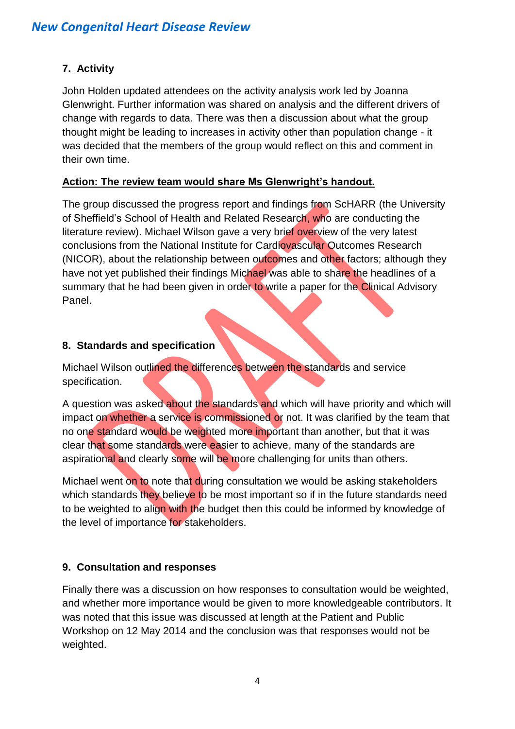### **7. Activity**

John Holden updated attendees on the activity analysis work led by Joanna Glenwright. Further information was shared on analysis and the different drivers of change with regards to data. There was then a discussion about what the group thought might be leading to increases in activity other than population change - it was decided that the members of the group would reflect on this and comment in their own time.

#### **Action: The review team would share Ms Glenwright's handout.**

The group discussed the progress report and findings from ScHARR (the University of Sheffield's School of Health and Related Research, who are conducting the literature review). Michael Wilson gave a very brief overview of the very latest conclusions from the National Institute for Cardiovascular Outcomes Research (NICOR), about the relationship between outcomes and other factors; although they have not yet published their findings Michael was able to share the headlines of a summary that he had been given in order to write a paper for the Clinical Advisory Panel.

#### **8. Standards and specification**

Michael Wilson outlined the differences between the standards and service specification.

A question was asked about the standards and which will have priority and which will impact on whether a service is commissioned or not. It was clarified by the team that no one standard would be weighted more important than another, but that it was clear that some standards were easier to achieve, many of the standards are aspirational and clearly some will be more challenging for units than others.

Michael went on to note that during consultation we would be asking stakeholders which standards they believe to be most important so if in the future standards need to be weighted to align with the budget then this could be informed by knowledge of the level of importance for stakeholders.

#### **9. Consultation and responses**

Finally there was a discussion on how responses to consultation would be weighted, and whether more importance would be given to more knowledgeable contributors. It was noted that this issue was discussed at length at the Patient and Public Workshop on 12 May 2014 and the conclusion was that responses would not be weighted.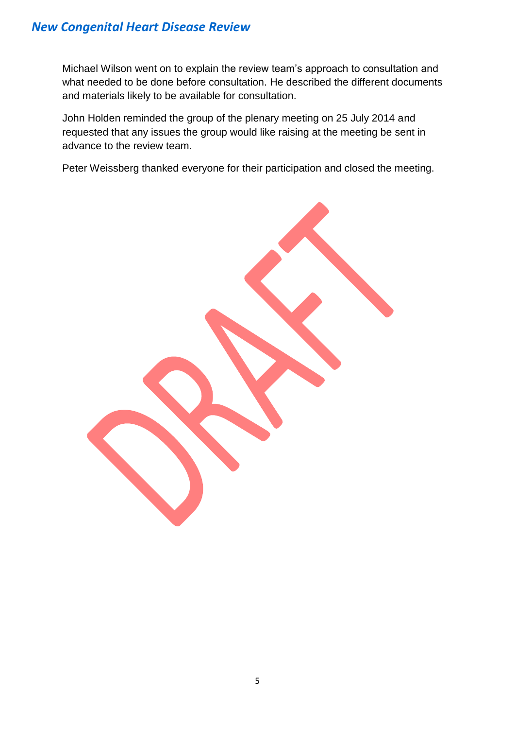### *New Congenital Heart Disease Review*

Michael Wilson went on to explain the review team's approach to consultation and what needed to be done before consultation. He described the different documents and materials likely to be available for consultation.

John Holden reminded the group of the plenary meeting on 25 July 2014 and requested that any issues the group would like raising at the meeting be sent in advance to the review team.

Peter Weissberg thanked everyone for their participation and closed the meeting.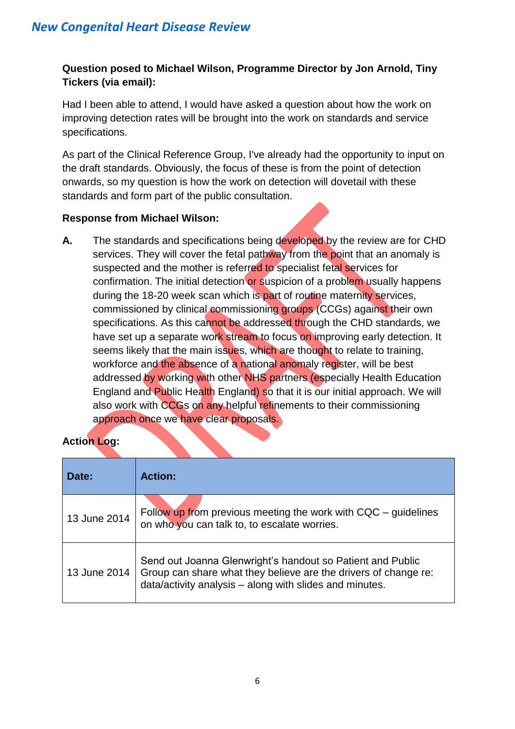#### **Question posed to Michael Wilson, Programme Director by Jon Arnold, Tiny Tickers (via email):**

Had I been able to attend, I would have asked a question about how the work on improving detection rates will be brought into the work on standards and service specifications.

As part of the Clinical Reference Group, I've already had the opportunity to input on the draft standards. Obviously, the focus of these is from the point of detection onwards, so my question is how the work on detection will dovetail with these standards and form part of the public consultation.

#### **Response from Michael Wilson:**

**A.** The standards and specifications being developed by the review are for CHD services. They will cover the fetal pathway from the point that an anomaly is suspected and the mother is referred to specialist fetal services for confirmation. The initial detection or suspicion of a problem usually happens during the 18-20 week scan which is part of routine maternity services, commissioned by clinical commissioning groups (CCGs) against their own specifications. As this cannot be addressed through the CHD standards, we have set up a separate work stream to focus on improving early detection. It seems likely that the main issues, which are thought to relate to training, workforce and the absence of a national anomaly register, will be best addressed by working with other NHS partners (especially Health Education England and Public Health England) so that it is our initial approach. We will also work with CCGs on any helpful refinements to their commissioning approach once we have clear proposals.

| Date:        | <b>Action:</b>                                                                                                                                                                           |
|--------------|------------------------------------------------------------------------------------------------------------------------------------------------------------------------------------------|
| 13 June 2014 | Follow up from previous meeting the work with CQC – guidelines<br>on who you can talk to, to escalate worries.                                                                           |
| 13 June 2014 | Send out Joanna Glenwright's handout so Patient and Public<br>Group can share what they believe are the drivers of change re:<br>data/activity analysis - along with slides and minutes. |